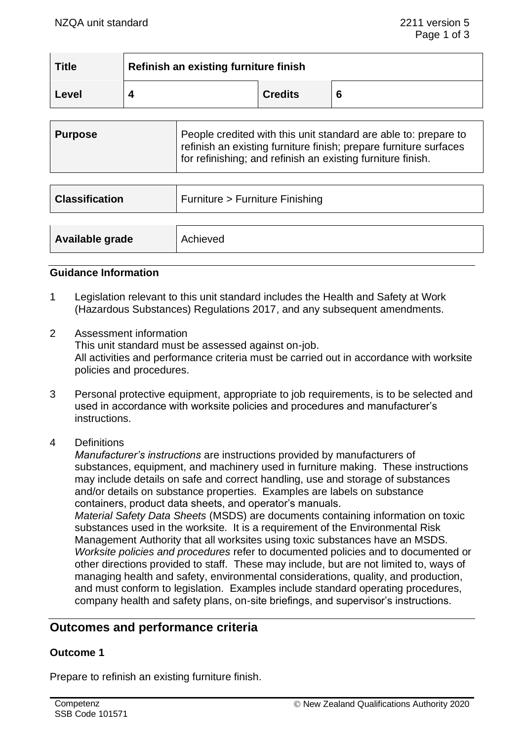| <b>Title</b> | Refinish an existing furniture finish |                |  |
|--------------|---------------------------------------|----------------|--|
| Level        |                                       | <b>Credits</b> |  |

| ∣ Purpose |
|-----------|

| <b>Classification</b> | Furniture > Furniture Finishing |
|-----------------------|---------------------------------|
| Available grade       | Achieved                        |

#### **Guidance Information**

- 1 Legislation relevant to this unit standard includes the Health and Safety at Work (Hazardous Substances) Regulations 2017, and any subsequent amendments.
- 2 Assessment information This unit standard must be assessed against on-job. All activities and performance criteria must be carried out in accordance with worksite policies and procedures.
- 3 Personal protective equipment, appropriate to job requirements, is to be selected and used in accordance with worksite policies and procedures and manufacturer's instructions.
- 4 Definitions

*Manufacturer's instructions* are instructions provided by manufacturers of substances, equipment, and machinery used in furniture making. These instructions may include details on safe and correct handling, use and storage of substances and/or details on substance properties. Examples are labels on substance containers, product data sheets, and operator's manuals.

*Material Safety Data Sheets* (MSDS) are documents containing information on toxic substances used in the worksite. It is a requirement of the Environmental Risk Management Authority that all worksites using toxic substances have an MSDS. *Worksite policies and procedures* refer to documented policies and to documented or other directions provided to staff. These may include, but are not limited to, ways of managing health and safety, environmental considerations, quality, and production, and must conform to legislation. Examples include standard operating procedures, company health and safety plans, on-site briefings, and supervisor's instructions.

# **Outcomes and performance criteria**

## **Outcome 1**

Prepare to refinish an existing furniture finish.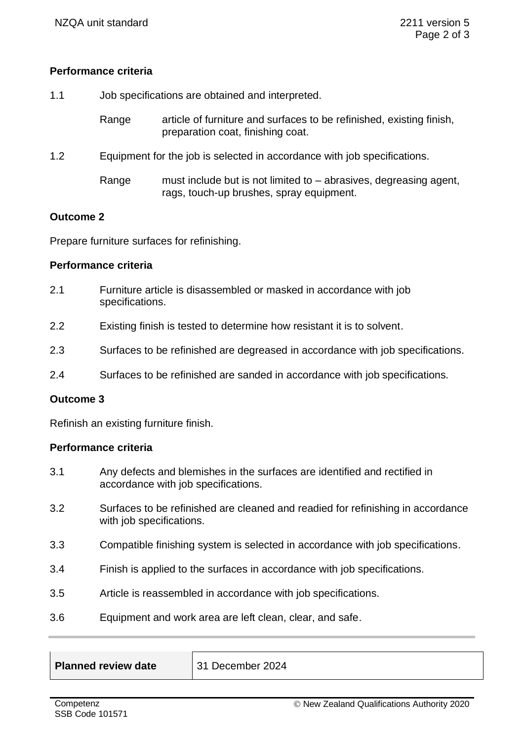## **Performance criteria**

1.1 Job specifications are obtained and interpreted.

Range article of furniture and surfaces to be refinished, existing finish, preparation coat, finishing coat.

- 1.2 Equipment for the job is selected in accordance with job specifications.
	- Range must include but is not limited to abrasives, degreasing agent, rags, touch-up brushes, spray equipment.

#### **Outcome 2**

Prepare furniture surfaces for refinishing.

## **Performance criteria**

- 2.1 Furniture article is disassembled or masked in accordance with job specifications.
- 2.2 Existing finish is tested to determine how resistant it is to solvent.
- 2.3 Surfaces to be refinished are degreased in accordance with job specifications.
- 2.4 Surfaces to be refinished are sanded in accordance with job specifications.

#### **Outcome 3**

Refinish an existing furniture finish.

## **Performance criteria**

- 3.1 Any defects and blemishes in the surfaces are identified and rectified in accordance with job specifications.
- 3.2 Surfaces to be refinished are cleaned and readied for refinishing in accordance with job specifications.
- 3.3 Compatible finishing system is selected in accordance with job specifications.
- 3.4 Finish is applied to the surfaces in accordance with job specifications.
- 3.5 Article is reassembled in accordance with job specifications.
- 3.6 Equipment and work area are left clean, clear, and safe.

| <b>Planned review date</b> | 31 December 2024 |
|----------------------------|------------------|
|                            |                  |